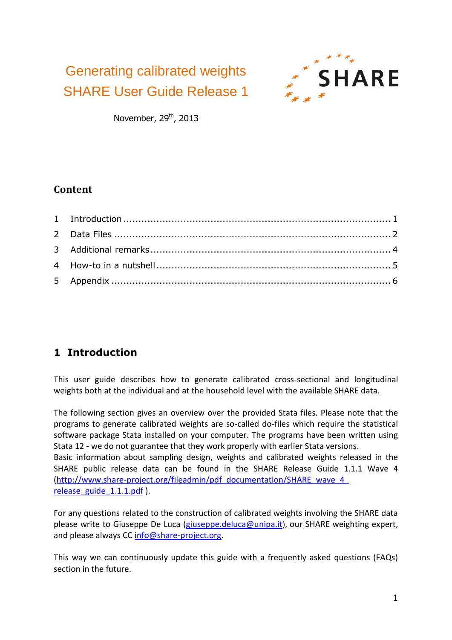Generating calibrated weights SHARE User Guide Release 1



November,  $29<sup>th</sup>$ , 2013

#### **Content**

## <span id="page-0-0"></span>**1 Introduction**

This user guide describes how to generate calibrated cross-sectional and longitudinal weights both at the individual and at the household level with the available SHARE data.

The following section gives an overview over the provided Stata files. Please note that the programs to generate calibrated weights are so-called do-files which require the statistical software package Stata installed on your computer. The programs have been written using Stata 12 - we do not guarantee that they work properly with earlier Stata versions.

Basic information about sampling design, weights and calibrated weights released in the SHARE public release data can be found in the SHARE Release Guide 1.1.1 Wave 4 [\(http://www.share-project.org/fileadmin/pdf\\_documentation/SHARE\\_wave\\_4\\_](http://www.share-project.org/fileadmin/pdf_documentation/SHARE_wave_4_release_guide_1.1.1.pdf) [release\\_guide\\_1.1.1.pdf](http://www.share-project.org/fileadmin/pdf_documentation/SHARE_wave_4_release_guide_1.1.1.pdf) ).

For any questions related to the construction of calibrated weights involving the SHARE data please write to Giuseppe De Luca [\(giuseppe.deluca@unipa.it](mailto:giuseppe.deluca@unipa.it)), our SHARE weighting expert, and please always CC [info@share-project.org.](mailto:share-info@share-project.org)

This way we can continuously update this guide with a frequently asked questions (FAQs) section in the future.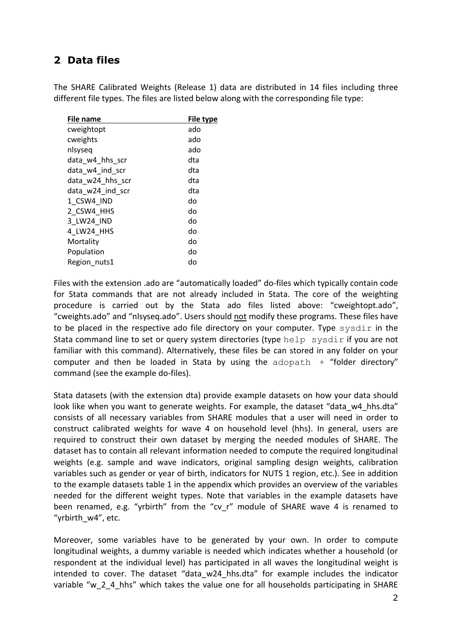#### <span id="page-1-0"></span>**2 Data files**

The SHARE Calibrated Weights (Release 1) data are distributed in 14 files including three different file types. The files are listed below along with the corresponding file type:

| <b>File name</b> | File type |
|------------------|-----------|
| cweightopt       | ado       |
| cweights         | ado       |
| nlsyseq          | ado       |
| data w4 hhs scr  | dta       |
| data w4 ind scr  | dta       |
| data w24 hhs scr | dta       |
| data w24 ind scr | dta       |
| 1 CSW4 IND       | do        |
| 2 CSW4 HHS       | do        |
| 3 LW24 IND       | do        |
| 4 LW24 HHS       | do        |
| Mortality        | do        |
| Population       | do        |
| Region nuts1     | do        |
|                  |           |

Files with the extension .ado are "automatically loaded" do-files which typically contain code for Stata commands that are not already included in Stata. The core of the weighting procedure is carried out by the Stata ado files listed above: "cweightopt.ado", "cweights.ado" and "nlsyseq.ado". Users should not modify these programs. These files have to be placed in the respective ado file directory on your computer. Type sysdir in the Stata command line to set or query system directories (type help sysdir if you are not familiar with this command). Alternatively, these files be can stored in any folder on your computer and then be loaded in Stata by using the  $ad$ opath  $+$  "folder directory" command (see the example do-files).

Stata datasets (with the extension dta) provide example datasets on how your data should look like when you want to generate weights. For example, the dataset "data\_w4\_hhs.dta" consists of all necessary variables from SHARE modules that a user will need in order to construct calibrated weights for wave 4 on household level (hhs). In general, users are required to construct their own dataset by merging the needed modules of SHARE. The dataset has to contain all relevant information needed to compute the required longitudinal weights (e.g. sample and wave indicators, original sampling design weights, calibration variables such as gender or year of birth, indicators for NUTS 1 region, etc.). See in addition to the example datasets table 1 in the appendix which provides an overview of the variables needed for the different weight types. Note that variables in the example datasets have been renamed, e.g. "yrbirth" from the "cv r" module of SHARE wave 4 is renamed to "yrbirth\_w4", etc.

Moreover, some variables have to be generated by your own. In order to compute longitudinal weights, a dummy variable is needed which indicates whether a household (or respondent at the individual level) has participated in all waves the longitudinal weight is intended to cover. The dataset "data w24 hhs.dta" for example includes the indicator variable "w\_2\_4\_hhs" which takes the value one for all households participating in SHARE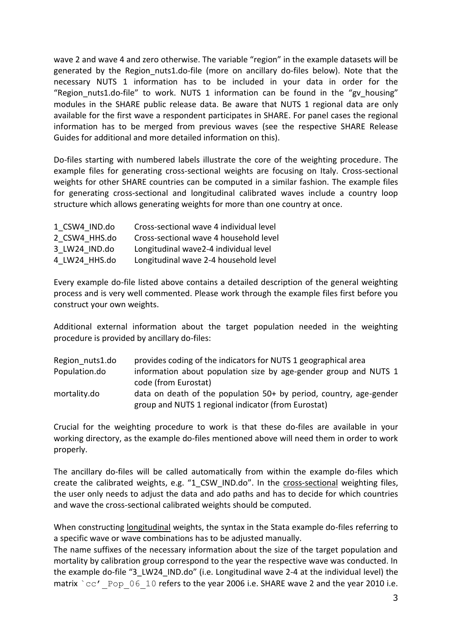wave 2 and wave 4 and zero otherwise. The variable "region" in the example datasets will be generated by the Region nuts1.do-file (more on ancillary do-files below). Note that the necessary NUTS 1 information has to be included in your data in order for the "Region nuts1.do-file" to work. NUTS 1 information can be found in the "gv housing" modules in the SHARE public release data. Be aware that NUTS 1 regional data are only available for the first wave a respondent participates in SHARE. For panel cases the regional information has to be merged from previous waves (see the respective SHARE Release Guides for additional and more detailed information on this).

Do-files starting with numbered labels illustrate the core of the weighting procedure. The example files for generating cross-sectional weights are focusing on Italy. Cross-sectional weights for other SHARE countries can be computed in a similar fashion. The example files for generating cross-sectional and longitudinal calibrated waves include a country loop structure which allows generating weights for more than one country at once.

| 1 CSW4 IND.do | Cross-sectional wave 4 individual level |
|---------------|-----------------------------------------|
| 2 CSW4 HHS.do | Cross-sectional wave 4 household level  |
| 3 LW24 IND.do | Longitudinal wave2-4 individual level   |
| 4 LW24 HHS.do | Longitudinal wave 2-4 household level   |

Every example do-file listed above contains a detailed description of the general weighting process and is very well commented. Please work through the example files first before you construct your own weights.

Additional external information about the target population needed in the weighting procedure is provided by ancillary do-files:

| Region nuts1.do | provides coding of the indicators for NUTS 1 geographical area     |
|-----------------|--------------------------------------------------------------------|
| Population.do   | information about population size by age-gender group and NUTS 1   |
|                 | code (from Eurostat)                                               |
| mortality.do    | data on death of the population 50+ by period, country, age-gender |
|                 | group and NUTS 1 regional indicator (from Eurostat)                |

Crucial for the weighting procedure to work is that these do-files are available in your working directory, as the example do-files mentioned above will need them in order to work properly.

The ancillary do-files will be called automatically from within the example do-files which create the calibrated weights, e.g. "1\_CSW\_IND.do". In the cross-sectional weighting files, the user only needs to adjust the data and ado paths and has to decide for which countries and wave the cross-sectional calibrated weights should be computed.

When constructing longitudinal weights, the syntax in the Stata example do-files referring to a specific wave or wave combinations has to be adjusted manually.

The name suffixes of the necessary information about the size of the target population and mortality by calibration group correspond to the year the respective wave was conducted. In the example do-file "3 LW24 IND.do" (i.e. Longitudinal wave 2-4 at the individual level) the matrix  $\text{`cc'}$  Pop 06 10 refers to the year 2006 i.e. SHARE wave 2 and the year 2010 i.e.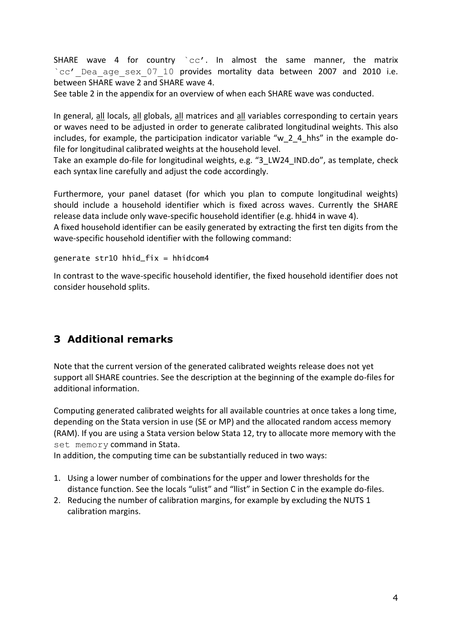SHARE wave 4 for country  $\text{`cc'}$ . In almost the same manner, the matrix `cc' Dea age sex 07 10 provides mortality data between 2007 and 2010 i.e. between SHARE wave 2 and SHARE wave 4.

See table 2 in the appendix for an overview of when each SHARE wave was conducted.

In general, all locals, all globals, all matrices and all variables corresponding to certain years or waves need to be adjusted in order to generate calibrated longitudinal weights. This also includes, for example, the participation indicator variable "w\_2\_4\_hhs" in the example dofile for longitudinal calibrated weights at the household level.

Take an example do-file for longitudinal weights, e.g. "3\_LW24\_IND.do", as template, check each syntax line carefully and adjust the code accordingly.

Furthermore, your panel dataset (for which you plan to compute longitudinal weights) should include a household identifier which is fixed across waves. Currently the SHARE release data include only wave-specific household identifier (e.g. hhid4 in wave 4).

A fixed household identifier can be easily generated by extracting the first ten digits from the wave-specific household identifier with the following command:

generate str10 hhid\_fix = hhidcom4

In contrast to the wave-specific household identifier, the fixed household identifier does not consider household splits.

### <span id="page-3-0"></span>**3 Additional remarks**

Note that the current version of the generated calibrated weights release does not yet support all SHARE countries. See the description at the beginning of the example do-files for additional information.

Computing generated calibrated weights for all available countries at once takes a long time, depending on the Stata version in use (SE or MP) and the allocated random access memory (RAM). If you are using a Stata version below Stata 12, try to allocate more memory with the set memory command in Stata.

In addition, the computing time can be substantially reduced in two ways:

- 1. Using a lower number of combinations for the upper and lower thresholds for the distance function. See the locals "ulist" and "llist" in Section C in the example do-files.
- 2. Reducing the number of calibration margins, for example by excluding the NUTS 1 calibration margins.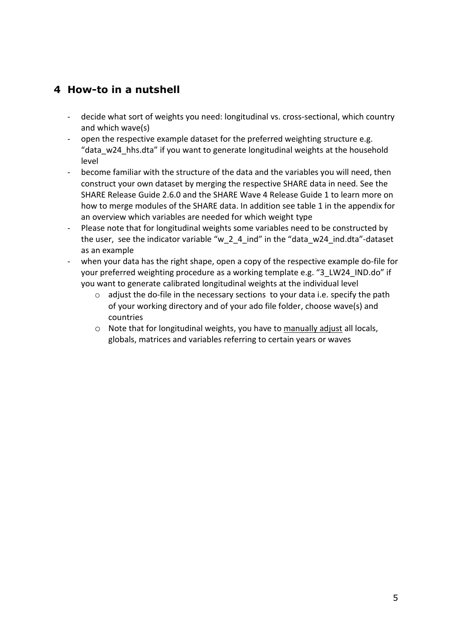#### <span id="page-4-0"></span>**4 How-to in a nutshell**

- decide what sort of weights you need: longitudinal vs. cross-sectional, which country and which wave(s)
- open the respective example dataset for the preferred weighting structure e.g. "data\_w24\_hhs.dta" if you want to generate longitudinal weights at the household level
- become familiar with the structure of the data and the variables you will need, then construct your own dataset by merging the respective SHARE data in need. See the SHARE Release Guide 2.6.0 and the SHARE Wave 4 Release Guide 1 to learn more on how to merge modules of the SHARE data. In addition see table 1 in the appendix for an overview which variables are needed for which weight type
- Please note that for longitudinal weights some variables need to be constructed by the user, see the indicator variable "w\_2\_4\_ind" in the "data\_w24\_ind.dta"-dataset as an example
- when your data has the right shape, open a copy of the respective example do-file for your preferred weighting procedure as a working template e.g. "3\_LW24\_IND.do" if you want to generate calibrated longitudinal weights at the individual level
	- o adjust the do-file in the necessary sections to your data i.e. specify the path of your working directory and of your ado file folder, choose wave(s) and countries
	- o Note that for longitudinal weights, you have to manually adjust all locals, globals, matrices and variables referring to certain years or waves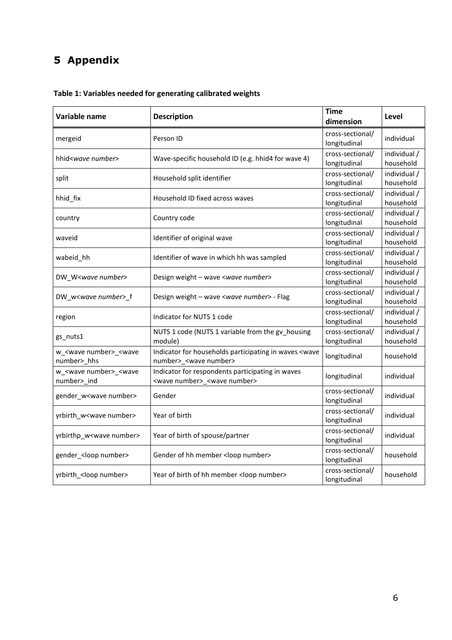# <span id="page-5-0"></span>**5 Appendix**

| Variable name                                                | <b>Description</b>                                                                                    | <b>Time</b><br>dimension         | Level                     |
|--------------------------------------------------------------|-------------------------------------------------------------------------------------------------------|----------------------------------|---------------------------|
| mergeid                                                      | Person ID                                                                                             | cross-sectional/<br>longitudinal | individual                |
| hhid< <i>wave number</i> >                                   | Wave-specific household ID (e.g. hhid4 for wave 4)                                                    | cross-sectional/<br>longitudinal | individual /<br>household |
| split                                                        | Household split identifier                                                                            | cross-sectional/<br>longitudinal | individual /<br>household |
| hhid_fix                                                     | Household ID fixed across waves                                                                       | cross-sectional/<br>longitudinal | individual /<br>household |
| country                                                      | Country code                                                                                          | cross-sectional/<br>longitudinal | individual /<br>household |
| waveid                                                       | Identifier of original wave                                                                           | cross-sectional/<br>longitudinal | individual /<br>household |
| wabeid_hh                                                    | Identifier of wave in which hh was sampled                                                            | cross-sectional/<br>longitudinal | individual /<br>household |
| DW_W <wave number=""></wave>                                 | Design weight - wave <wave number=""></wave>                                                          | cross-sectional/<br>longitudinal | individual /<br>household |
| DW_w <wave number="">_f</wave>                               | Design weight - wave <wave number=""> - Flag</wave>                                                   | cross-sectional/<br>longitudinal | individual /<br>household |
| region                                                       | Indicator for NUTS 1 code                                                                             | cross-sectional/<br>longitudinal | individual /<br>household |
| gs_nuts1                                                     | NUTS 1 code (NUTS 1 variable from the gv_housing<br>module)                                           | cross-sectional/<br>longitudinal | individual /<br>household |
| w_ <wave number="">_<wave<br>number&gt;_hhs</wave<br></wave> | Indicator for households participating in waves <wave<br>number&gt; <wave number=""></wave></wave<br> | longitudinal                     | household                 |
| w_ <wave number="">_<wave<br>number&gt;_ind</wave<br></wave> | Indicator for respondents participating in waves<br><wave number="">_<wave number=""></wave></wave>   | longitudinal                     | individual                |
| gender_w <wave number=""></wave>                             | Gender                                                                                                | cross-sectional/<br>longitudinal | individual                |
| yrbirth_w <wave number=""></wave>                            | Year of birth                                                                                         | cross-sectional/<br>longitudinal | individual                |
| yrbirthp_w <wave number=""></wave>                           | Year of birth of spouse/partner                                                                       | cross-sectional/<br>longitudinal | individual                |
| gender_ <loop number=""></loop>                              | Gender of hh member <loop number=""></loop>                                                           | cross-sectional/<br>longitudinal | household                 |
| yrbirth_ <loop number=""></loop>                             | Year of birth of hh member <loop number=""></loop>                                                    | cross-sectional/<br>longitudinal | household                 |

**Table 1: Variables needed for generating calibrated weights**